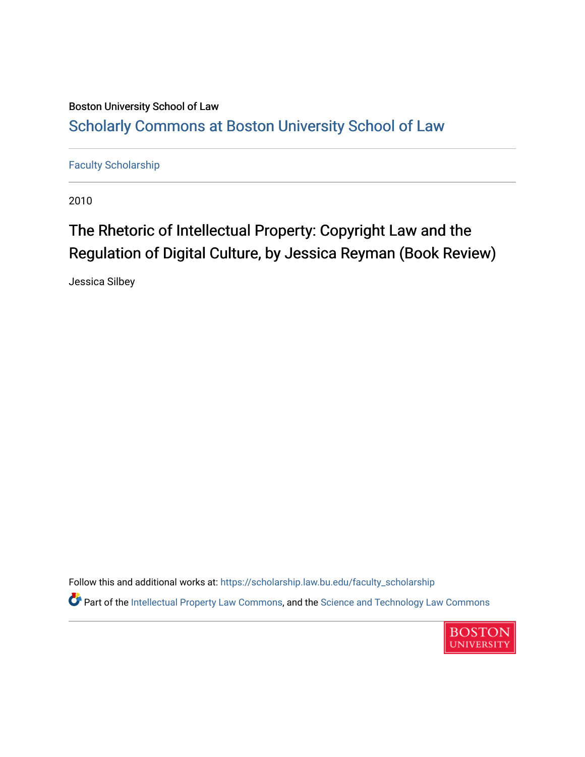### Boston University School of Law [Scholarly Commons at Boston University School of Law](https://scholarship.law.bu.edu/)

[Faculty Scholarship](https://scholarship.law.bu.edu/faculty_scholarship)

2010

### The Rhetoric of Intellectual Property: Copyright Law and the Regulation of Digital Culture, by Jessica Reyman (Book Review)

Jessica Silbey

Follow this and additional works at: [https://scholarship.law.bu.edu/faculty\\_scholarship](https://scholarship.law.bu.edu/faculty_scholarship?utm_source=scholarship.law.bu.edu%2Ffaculty_scholarship%2F1370&utm_medium=PDF&utm_campaign=PDFCoverPages) Part of the [Intellectual Property Law Commons,](http://network.bepress.com/hgg/discipline/896?utm_source=scholarship.law.bu.edu%2Ffaculty_scholarship%2F1370&utm_medium=PDF&utm_campaign=PDFCoverPages) and the Science and Technology Law Commons

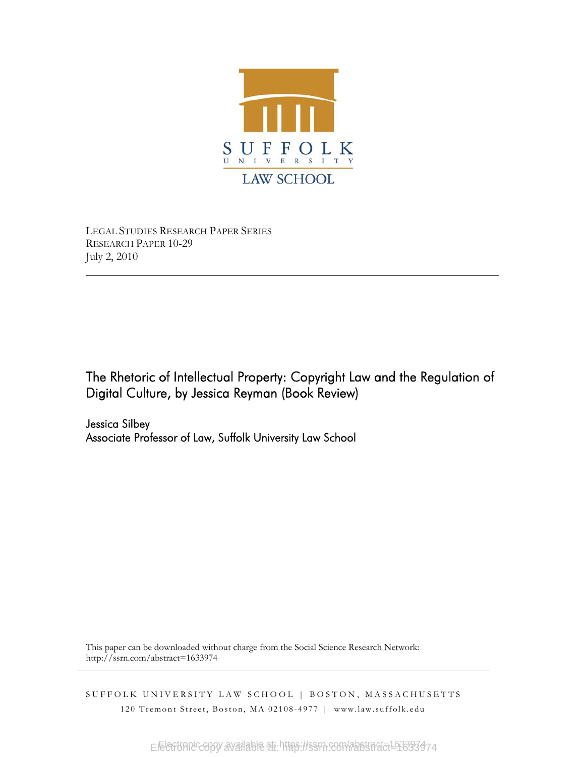

LEGAL STUDIES RESEARCH PAPER SERIES RESEARCH PAPER 10-29 July 2, 2010

The Rhetoric of Intellectual Property: Copyright Law and the Regulation of Digital Culture, by Jessica Reyman (Book Review)

Jessica Silbey Associate Professor of Law, Suffolk University Law School

This paper can be downloaded without charge from the Social Science Research Network: http://ssrn.com/abstract=1633974

SUFFOLK UNIVERSITY LAW SCHOOL | BOSTON, MASSACHUSETTS 120 Tremont Street, Boston, MA 02108-4977 | www.law.suffolk.edu

Electronic copy available at https://ssrn.com/abstract=163337474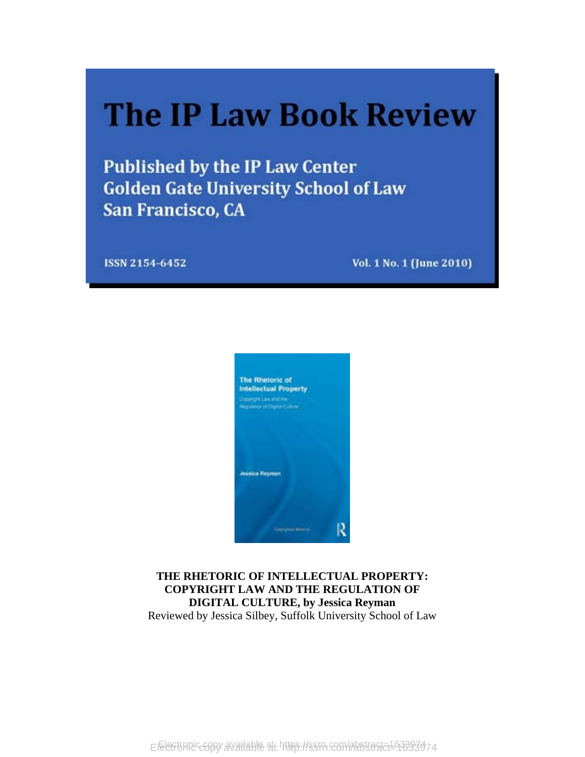# **The IP Law Book Review**

**Published by the IP Law Center Golden Gate University School of Law** San Francisco, CA

ISSN 2154-6452

Vol. 1 No. 1 (June 2010)



#### **THE RHETORIC OF INTELLECTUAL PROPERTY: COPYRIGHT LAW AND THE REGULATION OF DIGITAL CULTURE, by Jessica Reyman**  Reviewed by Jessica Silbey, Suffolk University School of Law

Electronic copy available at https://ssrn.com/abstract=163337474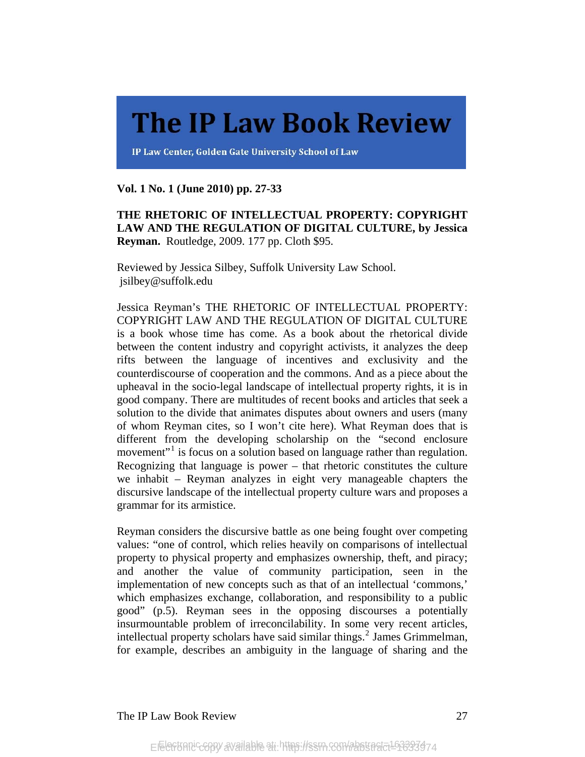## **The IP Law Book Review**

IP Law Center, Golden Gate University School of Law

**Vol. 1 No. 1 (June 2010) pp. 27-33** 

**THE RHETORIC OF INTELLECTUAL PROPERTY: COPYRIGHT LAW AND THE REGULATION OF DIGITAL CULTURE, by Jessica Reyman.** Routledge, 2009. 177 pp. Cloth \$95.

Reviewed by Jessica Silbey, Suffolk University Law School. jsilbey@suffolk.edu

Jessica Reyman's THE RHETORIC OF INTELLECTUAL PROPERTY: COPYRIGHT LAW AND THE REGULATION OF DIGITAL CULTURE is a book whose time has come. As a book about the rhetorical divide between the content industry and copyright activists, it analyzes the deep rifts between the language of incentives and exclusivity and the counterdiscourse of cooperation and the commons. And as a piece about the upheaval in the socio-legal landscape of intellectual property rights, it is in good company. There are multitudes of recent books and articles that seek a solution to the divide that animates disputes about owners and users (many of whom Reyman cites, so I won't cite here). What Reyman does that is different from the developing scholarship on the "second enclosure movement"<sup>[1](#page-8-0)</sup> is focus on a solution based on language rather than regulation. Recognizing that language is power – that rhetoric constitutes the culture we inhabit – Reyman analyzes in eight very manageable chapters the discursive landscape of the intellectual property culture wars and proposes a grammar for its armistice.

Reyman considers the discursive battle as one being fought over competing values: "one of control, which relies heavily on comparisons of intellectual property to physical property and emphasizes ownership, theft, and piracy; and another the value of community participation, seen in the implementation of new concepts such as that of an intellectual 'commons,' which emphasizes exchange, collaboration, and responsibility to a public good" (p.5). Reyman sees in the opposing discourses a potentially insurmountable problem of irreconcilability. In some very recent articles, intellectual property scholars have said similar things.<sup>[2](#page-8-1)</sup> James Grimmelman, for example, describes an ambiguity in the language of sharing and the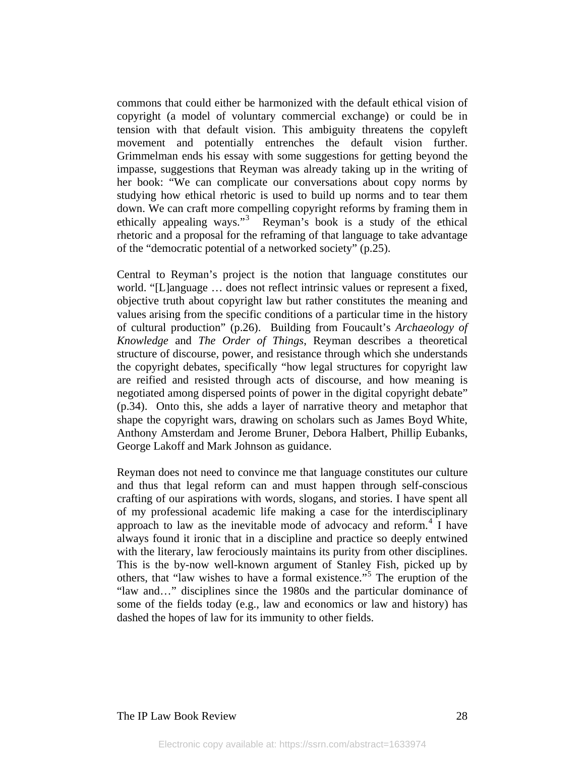commons that could either be harmonized with the default ethical vision of copyright (a model of voluntary commercial exchange) or could be in tension with that default vision. This ambiguity threatens the copyleft movement and potentially entrenches the default vision further. Grimmelman ends his essay with some suggestions for getting beyond the impasse, suggestions that Reyman was already taking up in the writing of her book: "We can complicate our conversations about copy norms by studying how ethical rhetoric is used to build up norms and to tear them down. We can craft more compelling copyright reforms by framing them in ethically appealing ways."<sup>[3](#page-8-2)</sup> Reyman's book is a study of the ethical rhetoric and a proposal for the reframing of that language to take advantage of the "democratic potential of a networked society" (p.25).

Central to Reyman's project is the notion that language constitutes our world. "[L]anguage … does not reflect intrinsic values or represent a fixed, objective truth about copyright law but rather constitutes the meaning and values arising from the specific conditions of a particular time in the history of cultural production" (p.26). Building from Foucault's *Archaeology of Knowledge* and *The Order of Things*, Reyman describes a theoretical structure of discourse, power, and resistance through which she understands the copyright debates, specifically "how legal structures for copyright law are reified and resisted through acts of discourse, and how meaning is negotiated among dispersed points of power in the digital copyright debate" (p.34). Onto this, she adds a layer of narrative theory and metaphor that shape the copyright wars, drawing on scholars such as James Boyd White, Anthony Amsterdam and Jerome Bruner, Debora Halbert, Phillip Eubanks, George Lakoff and Mark Johnson as guidance.

Reyman does not need to convince me that language constitutes our culture and thus that legal reform can and must happen through self-conscious crafting of our aspirations with words, slogans, and stories. I have spent all of my professional academic life making a case for the interdisciplinary approach to law as the inevitable mode of advocacy and reform.<sup>[4](#page-8-3)</sup> I have always found it ironic that in a discipline and practice so deeply entwined with the literary, law ferociously maintains its purity from other disciplines. This is the by-now well-known argument of Stanley Fish, picked up by others, that "law wishes to have a formal existence."[5](#page-8-4) The eruption of the "law and…" disciplines since the 1980s and the particular dominance of some of the fields today (e.g., law and economics or law and history) has dashed the hopes of law for its immunity to other fields.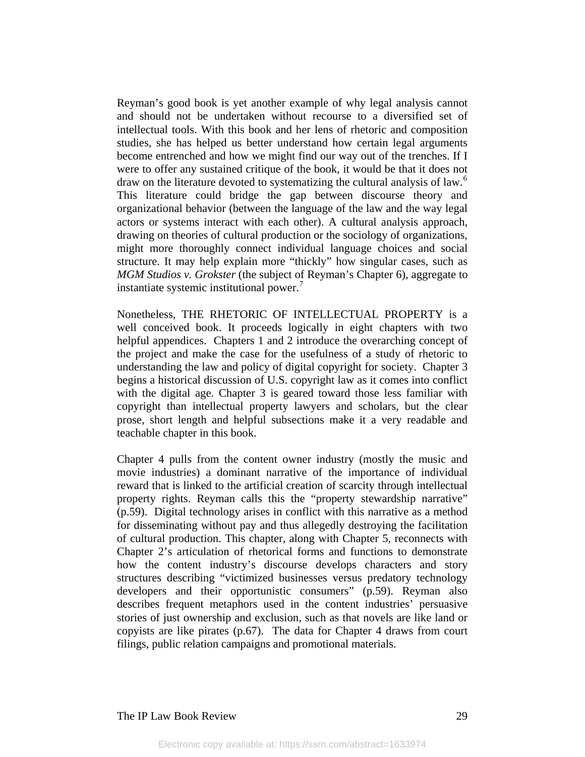Reyman's good book is yet another example of why legal analysis cannot and should not be undertaken without recourse to a diversified set of intellectual tools. With this book and her lens of rhetoric and composition studies, she has helped us better understand how certain legal arguments become entrenched and how we might find our way out of the trenches. If I were to offer any sustained critique of the book, it would be that it does not draw on the literature devoted to systematizing the cultural analysis of law.<sup>[6](#page-9-0)</sup> This literature could bridge the gap between discourse theory and organizational behavior (between the language of the law and the way legal actors or systems interact with each other). A cultural analysis approach, drawing on theories of cultural production or the sociology of organizations, might more thoroughly connect individual language choices and social structure. It may help explain more "thickly" how singular cases, such as *MGM Studios v. Grokster* (the subject of Reyman's Chapter 6), aggregate to instantiate systemic institutional power. $7$ 

Nonetheless, THE RHETORIC OF INTELLECTUAL PROPERTY is a well conceived book. It proceeds logically in eight chapters with two helpful appendices. Chapters 1 and 2 introduce the overarching concept of the project and make the case for the usefulness of a study of rhetoric to understanding the law and policy of digital copyright for society. Chapter 3 begins a historical discussion of U.S. copyright law as it comes into conflict with the digital age. Chapter 3 is geared toward those less familiar with copyright than intellectual property lawyers and scholars, but the clear prose, short length and helpful subsections make it a very readable and teachable chapter in this book.

Chapter 4 pulls from the content owner industry (mostly the music and movie industries) a dominant narrative of the importance of individual reward that is linked to the artificial creation of scarcity through intellectual property rights. Reyman calls this the "property stewardship narrative" (p.59). Digital technology arises in conflict with this narrative as a method for disseminating without pay and thus allegedly destroying the facilitation of cultural production. This chapter, along with Chapter 5, reconnects with Chapter 2's articulation of rhetorical forms and functions to demonstrate how the content industry's discourse develops characters and story structures describing "victimized businesses versus predatory technology developers and their opportunistic consumers" (p.59). Reyman also describes frequent metaphors used in the content industries' persuasive stories of just ownership and exclusion, such as that novels are like land or copyists are like pirates (p.67). The data for Chapter 4 draws from court filings, public relation campaigns and promotional materials.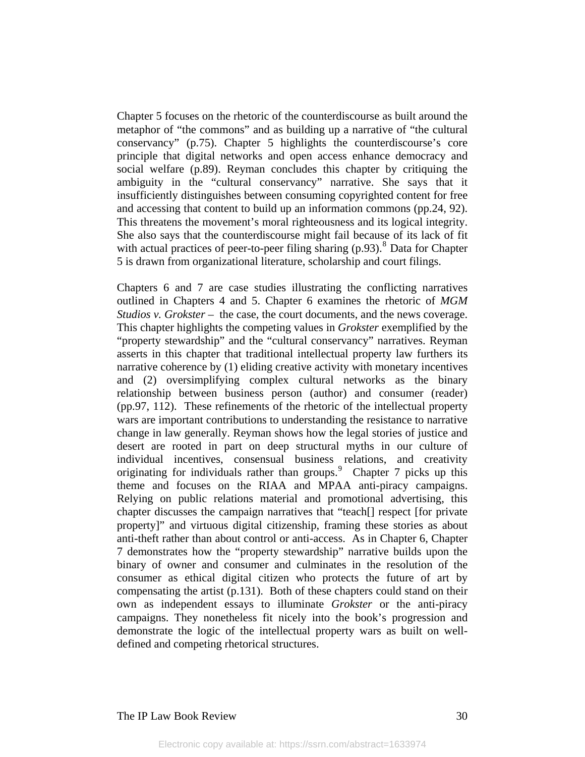Chapter 5 focuses on the rhetoric of the counterdiscourse as built around the metaphor of "the commons" and as building up a narrative of "the cultural conservancy" (p.75). Chapter 5 highlights the counterdiscourse's core principle that digital networks and open access enhance democracy and social welfare (p.89). Reyman concludes this chapter by critiquing the ambiguity in the "cultural conservancy" narrative. She says that it insufficiently distinguishes between consuming copyrighted content for free and accessing that content to build up an information commons (pp.24, 92). This threatens the movement's moral righteousness and its logical integrity. She also says that the counterdiscourse might fail because of its lack of fit with actual practices of peer-to-peer filing sharing  $(p.93)$ .<sup>[8](#page-9-2)</sup> Data for Chapter 5 is drawn from organizational literature, scholarship and court filings.

Chapters 6 and 7 are case studies illustrating the conflicting narratives outlined in Chapters 4 and 5. Chapter 6 examines the rhetoric of *MGM Studios v. Grokster* – the case, the court documents, and the news coverage. This chapter highlights the competing values in *Grokster* exemplified by the "property stewardship" and the "cultural conservancy" narratives. Reyman asserts in this chapter that traditional intellectual property law furthers its narrative coherence by (1) eliding creative activity with monetary incentives and (2) oversimplifying complex cultural networks as the binary relationship between business person (author) and consumer (reader) (pp.97, 112). These refinements of the rhetoric of the intellectual property wars are important contributions to understanding the resistance to narrative change in law generally. Reyman shows how the legal stories of justice and desert are rooted in part on deep structural myths in our culture of individual incentives, consensual business relations, and creativity originating for individuals rather than groups. <sup>[9](#page-9-3)</sup> Chapter 7 picks up this theme and focuses on the RIAA and MPAA anti-piracy campaigns. Relying on public relations material and promotional advertising, this chapter discusses the campaign narratives that "teach[] respect [for private property]" and virtuous digital citizenship, framing these stories as about anti-theft rather than about control or anti-access. As in Chapter 6, Chapter 7 demonstrates how the "property stewardship" narrative builds upon the binary of owner and consumer and culminates in the resolution of the consumer as ethical digital citizen who protects the future of art by compensating the artist (p.131). Both of these chapters could stand on their own as independent essays to illuminate *Grokster* or the anti-piracy campaigns. They nonetheless fit nicely into the book's progression and demonstrate the logic of the intellectual property wars as built on welldefined and competing rhetorical structures.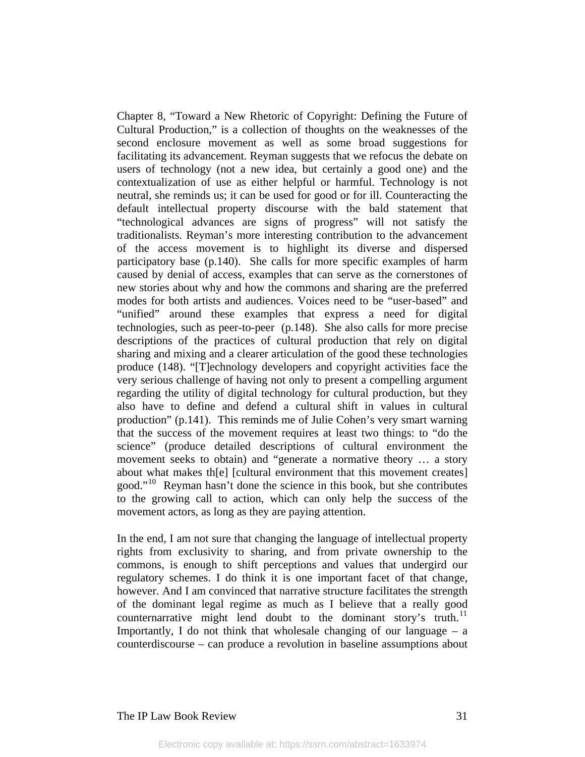Chapter 8, "Toward a New Rhetoric of Copyright: Defining the Future of Cultural Production," is a collection of thoughts on the weaknesses of the second enclosure movement as well as some broad suggestions for facilitating its advancement. Reyman suggests that we refocus the debate on users of technology (not a new idea, but certainly a good one) and the contextualization of use as either helpful or harmful. Technology is not neutral, she reminds us; it can be used for good or for ill. Counteracting the default intellectual property discourse with the bald statement that "technological advances are signs of progress" will not satisfy the traditionalists. Reyman's more interesting contribution to the advancement of the access movement is to highlight its diverse and dispersed participatory base (p.140). She calls for more specific examples of harm caused by denial of access, examples that can serve as the cornerstones of new stories about why and how the commons and sharing are the preferred modes for both artists and audiences. Voices need to be "user-based" and "unified" around these examples that express a need for digital technologies, such as peer-to-peer (p.148). She also calls for more precise descriptions of the practices of cultural production that rely on digital sharing and mixing and a clearer articulation of the good these technologies produce (148). "[T]echnology developers and copyright activities face the very serious challenge of having not only to present a compelling argument regarding the utility of digital technology for cultural production, but they also have to define and defend a cultural shift in values in cultural production" (p.141). This reminds me of Julie Cohen's very smart warning that the success of the movement requires at least two things: to "do the science" (produce detailed descriptions of cultural environment the movement seeks to obtain) and "generate a normative theory … a story about what makes th[e] [cultural environment that this movement creates] good."[10](#page-9-4) Reyman hasn't done the science in this book, but she contributes to the growing call to action, which can only help the success of the movement actors, as long as they are paying attention.

In the end, I am not sure that changing the language of intellectual property rights from exclusivity to sharing, and from private ownership to the commons, is enough to shift perceptions and values that undergird our regulatory schemes. I do think it is one important facet of that change, however. And I am convinced that narrative structure facilitates the strength of the dominant legal regime as much as I believe that a really good counternarrative might lend doubt to the dominant story's truth.<sup>[11](#page-9-5)</sup> Importantly, I do not think that wholesale changing of our language  $-$  a counterdiscourse – can produce a revolution in baseline assumptions about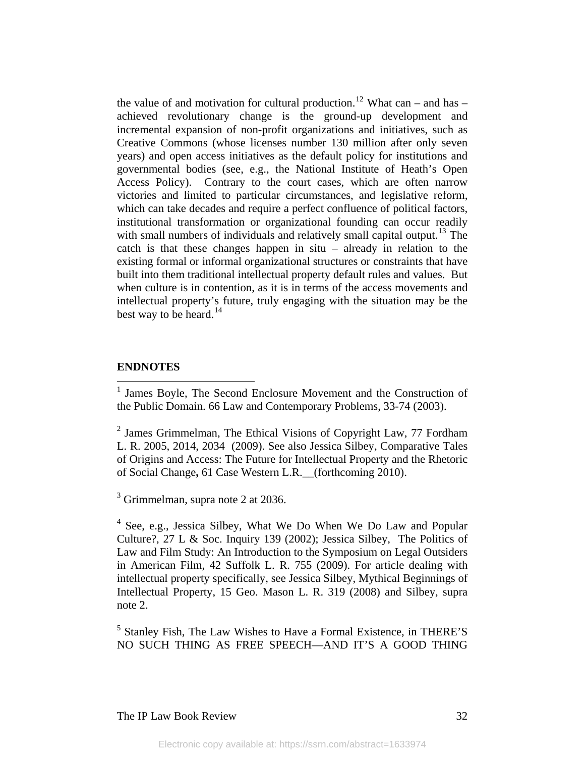the value of and motivation for cultural production.<sup>[12](#page-9-6)</sup> What can – and has – achieved revolutionary change is the ground-up development and incremental expansion of non-profit organizations and initiatives, such as Creative Commons (whose licenses number 130 million after only seven years) and open access initiatives as the default policy for institutions and governmental bodies (see, e.g., the National Institute of Heath's Open Access Policy). Contrary to the court cases, which are often narrow victories and limited to particular circumstances, and legislative reform, which can take decades and require a perfect confluence of political factors, institutional transformation or organizational founding can occur readily with small numbers of individuals and relatively small capital output.<sup>[13](#page-9-7)</sup> The catch is that these changes happen in situ – already in relation to the existing formal or informal organizational structures or constraints that have built into them traditional intellectual property default rules and values. But when culture is in contention, as it is in terms of the access movements and intellectual property's future, truly engaging with the situation may be the best way to be heard.<sup>[14](#page-9-8)</sup>

#### **ENDNOTES**

<span id="page-8-2"></span> $3$  Grimmelman, supra note 2 at 2036.

<span id="page-8-3"></span><sup>4</sup> See, e.g., Jessica Silbey, What We Do When We Do Law and Popular Culture?,  $27 \text{ L} \&$  Soc. Inquiry 139 (2002); Jessica Silbey, The Politics of [Law and Film Study: An Introduction to the Symposium on Legal Outsiders](http://papers.ssrn.com/sol3/papers.cfm?abstract_id=1440839)  [in American Film,](http://papers.ssrn.com/sol3/papers.cfm?abstract_id=1440839) 42 Suffolk L. R. 755 (2009). For article dealing with intellectual property specifically, see Jessica Silbey, Mythical Beginnings of Intellectual Property, 15 Geo. Mason L. R. 319 (2008) and Silbey, supra note 2.

<span id="page-8-4"></span><sup>5</sup> Stanley Fish, The Law Wishes to Have a Formal Existence, in THERE'S NO SUCH THING AS FREE SPEECH—AND IT'S A GOOD THING

<span id="page-8-0"></span> 1 James Boyle, The Second Enclosure Movement and the Construction of the Public Domain. 66 Law and Contemporary Problems, 33-74 (2003).

<span id="page-8-1"></span> $2$  James Grimmelman, The Ethical Visions of Copyright Law, 77 Fordham L. R. 2005, 2014, 2034 (2009). See also Jessica Silbey, Comparative Tales of Origins and Access: The Future for Intellectual Property and the Rhetoric of Social Change**,** 61 Case Western L.R.\_\_(forthcoming 2010).